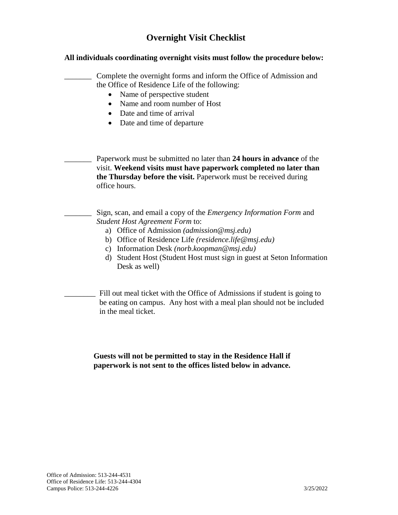## **Overnight Visit Checklist**

## **All individuals coordinating overnight visits must follow the procedure below:**

\_\_\_\_\_\_\_ Complete the overnight forms and inform the Office of Admission and the Office of Residence Life of the following:

- Name of perspective student
- Name and room number of Host
- Date and time of arrival
- Date and time of departure

\_\_\_\_\_\_\_ Paperwork must be submitted no later than **24 hours in advance** of the visit. **Weekend visits must have paperwork completed no later than the Thursday before the visit.** Paperwork must be received during office hours.

\_\_\_\_\_\_\_ Sign, scan, and email a copy of the *Emergency Information Form* and *Student Host Agreement Form* to:

- a) Office of Admission *(admission@msj.edu)*
- b) Office of Residence Life *(residence.life@msj.edu)*
- c) Information Desk *(norb.koopman@msj.edu)*
- d) Student Host (Student Host must sign in guest at Seton Information Desk as well)

Fill out meal ticket with the Office of Admissions if student is going to be eating on campus. Any host with a meal plan should not be included in the meal ticket.

**Guests will not be permitted to stay in the Residence Hall if paperwork is not sent to the offices listed below in advance.**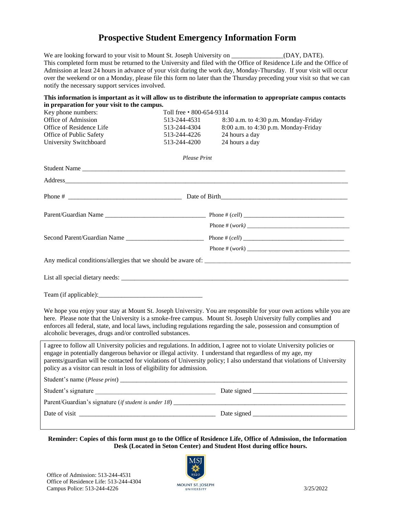## **Prospective Student Emergency Information Form**

We are looking forward to your visit to Mount St. Joseph University on \_\_\_\_\_\_\_\_\_\_\_\_\_\_(DAY, DATE). This completed form must be returned to the University and filed with the Office of Residence Life and the Office of Admission at least 24 hours in advance of your visit during the work day, Monday-Thursday. If your visit will occur over the weekend or on a Monday, please file this form no later than the Thursday preceding your visit so that we can notify the necessary support services involved.

|                                                                                                                                                                                  |                          | This information is important as it will allow us to distribute the information to appropriate campus contacts                                                                                                                                                                                                                                             |
|----------------------------------------------------------------------------------------------------------------------------------------------------------------------------------|--------------------------|------------------------------------------------------------------------------------------------------------------------------------------------------------------------------------------------------------------------------------------------------------------------------------------------------------------------------------------------------------|
| in preparation for your visit to the campus.<br>Key phone numbers:                                                                                                               | Toll free • 800-654-9314 |                                                                                                                                                                                                                                                                                                                                                            |
| Office of Admission                                                                                                                                                              | 513-244-4531             | 8:30 a.m. to 4:30 p.m. Monday-Friday                                                                                                                                                                                                                                                                                                                       |
| Office of Residence Life                                                                                                                                                         | 513-244-4304             | 8:00 a.m. to 4:30 p.m. Monday-Friday                                                                                                                                                                                                                                                                                                                       |
| Office of Public Safety                                                                                                                                                          | 513-244-4226             | 24 hours a day                                                                                                                                                                                                                                                                                                                                             |
| University Switchboard                                                                                                                                                           | 513-244-4200             | 24 hours a day                                                                                                                                                                                                                                                                                                                                             |
|                                                                                                                                                                                  | <b>Please Print</b>      |                                                                                                                                                                                                                                                                                                                                                            |
|                                                                                                                                                                                  |                          |                                                                                                                                                                                                                                                                                                                                                            |
| Address                                                                                                                                                                          |                          |                                                                                                                                                                                                                                                                                                                                                            |
|                                                                                                                                                                                  |                          |                                                                                                                                                                                                                                                                                                                                                            |
|                                                                                                                                                                                  |                          |                                                                                                                                                                                                                                                                                                                                                            |
|                                                                                                                                                                                  |                          |                                                                                                                                                                                                                                                                                                                                                            |
|                                                                                                                                                                                  |                          |                                                                                                                                                                                                                                                                                                                                                            |
|                                                                                                                                                                                  |                          |                                                                                                                                                                                                                                                                                                                                                            |
|                                                                                                                                                                                  |                          |                                                                                                                                                                                                                                                                                                                                                            |
|                                                                                                                                                                                  |                          |                                                                                                                                                                                                                                                                                                                                                            |
|                                                                                                                                                                                  |                          |                                                                                                                                                                                                                                                                                                                                                            |
| alcoholic beverages, drugs and/or controlled substances.                                                                                                                         |                          | We hope you enjoy your stay at Mount St. Joseph University. You are responsible for your own actions while you are<br>here. Please note that the University is a smoke-free campus. Mount St. Joseph University fully complies and<br>enforces all federal, state, and local laws, including regulations regarding the sale, possession and consumption of |
| engage in potentially dangerous behavior or illegal activity. I understand that regardless of my age, my<br>policy as a visitor can result in loss of eligibility for admission. |                          | I agree to follow all University policies and regulations. In addition, I agree not to violate University policies or<br>parents/guardian will be contacted for violations of University policy; I also understand that violations of University                                                                                                           |
|                                                                                                                                                                                  |                          |                                                                                                                                                                                                                                                                                                                                                            |
| Student's signature                                                                                                                                                              |                          |                                                                                                                                                                                                                                                                                                                                                            |
|                                                                                                                                                                                  |                          |                                                                                                                                                                                                                                                                                                                                                            |
|                                                                                                                                                                                  |                          |                                                                                                                                                                                                                                                                                                                                                            |
|                                                                                                                                                                                  |                          |                                                                                                                                                                                                                                                                                                                                                            |

**Reminder: Copies of this form must go to the Office of Residence Life, Office of Admission, the Information Desk (Located in Seton Center) and Student Host during office hours.**